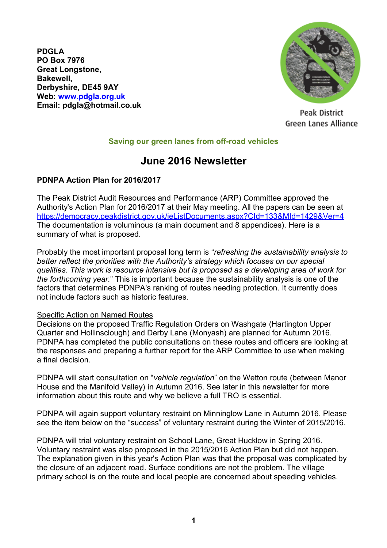**PDGLA PO Box 7976 Great Longstone, Bakewell, Derbyshire, DE45 9AY Web: [www.pdgla.org.uk](http://www.pdgla.org.uk/) Email: [pdgla@hotmail.co.uk](mailto:pdgla@hotmail.co.uk)**



Peak District Green Lanes Alliance

### **Saving our green lanes from off-road vehicles**

# **June 2016 Newsletter**

### **PDNPA Action Plan for 2016/2017**

The Peak District Audit Resources and Performance (ARP) Committee approved the Authority's Action Plan for 2016/2017 at their May meeting. All the papers can be seen at <https://democracy.peakdistrict.gov.uk/ieListDocuments.aspx?CId=133&MId=1429&Ver=4> The documentation is voluminous (a main document and 8 appendices). Here is a summary of what is proposed.

Probably the most important proposal long term is "*refreshing the sustainability analysis to better reflect the priorities with the Authority's strategy which focuses on our special qualities. This work is resource intensive but is proposed as a developing area of work for the forthcoming year.*" This is important because the sustainability analysis is one of the factors that determines PDNPA's ranking of routes needing protection. It currently does not include factors such as historic features.

#### Specific Action on Named Routes

Decisions on the proposed Traffic Regulation Orders on Washgate (Hartington Upper Quarter and Hollinsclough) and Derby Lane (Monyash) are planned for Autumn 2016. PDNPA has completed the public consultations on these routes and officers are looking at the responses and preparing a further report for the ARP Committee to use when making a final decision.

PDNPA will start consultation on "*vehicle regulation*" on the Wetton route (between Manor House and the Manifold Valley) in Autumn 2016. See later in this newsletter for more information about this route and why we believe a full TRO is essential.

PDNPA will again support voluntary restraint on Minninglow Lane in Autumn 2016. Please see the item below on the "success" of voluntary restraint during the Winter of 2015/2016.

PDNPA will trial voluntary restraint on School Lane, Great Hucklow in Spring 2016. Voluntary restraint was also proposed in the 2015/2016 Action Plan but did not happen. The explanation given in this year's Action Plan was that the proposal was complicated by the closure of an adjacent road. Surface conditions are not the problem. The village primary school is on the route and local people are concerned about speeding vehicles.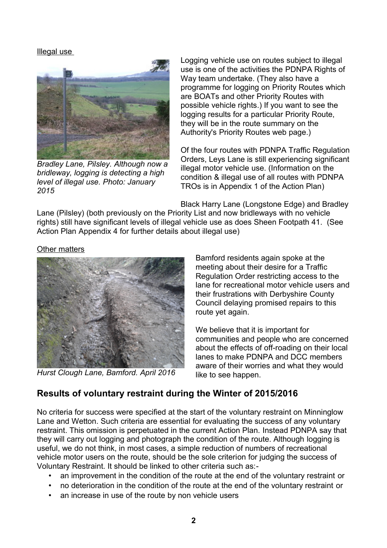Illegal use



*Bradley Lane, Pilsley. Although now a bridleway, logging is detecting a high level of illegal use. Photo: January 2015*

Logging vehicle use on routes subject to illegal use is one of the activities the PDNPA Rights of Way team undertake. (They also have a programme for logging on Priority Routes which are BOATs and other Priority Routes with possible vehicle rights.) If you want to see the logging results for a particular Priority Route, they will be in the route summary on the Authority's Priority Routes web page.)

Of the four routes with PDNPA Traffic Regulation Orders, Leys Lane is still experiencing significant illegal motor vehicle use. (Information on the condition & illegal use of all routes with PDNPA TROs is in Appendix 1 of the Action Plan)

Black Harry Lane (Longstone Edge) and Bradley

Lane (Pilsley) (both previously on the Priority List and now bridleways with no vehicle rights) still have significant levels of illegal vehicle use as does Sheen Footpath 41. (See Action Plan Appendix 4 for further details about illegal use)

Other matters



*Hurst Clough Lane, Bamford. April 2016*

Bamford residents again spoke at the meeting about their desire for a Traffic Regulation Order restricting access to the lane for recreational motor vehicle users and their frustrations with Derbyshire County Council delaying promised repairs to this route yet again.

We believe that it is important for communities and people who are concerned about the effects of off-roading on their local lanes to make PDNPA and DCC members aware of their worries and what they would like to see happen.

## **Results of voluntary restraint during the Winter of 2015/2016**

No criteria for success were specified at the start of the voluntary restraint on Minninglow Lane and Wetton. Such criteria are essential for evaluating the success of any voluntary restraint. This omission is perpetuated in the current Action Plan. Instead PDNPA say that they will carry out logging and photograph the condition of the route. Although logging is useful, we do not think, in most cases, a simple reduction of numbers of recreational vehicle motor users on the route, should be the sole criterion for judging the success of Voluntary Restraint. It should be linked to other criteria such as:-

- an improvement in the condition of the route at the end of the voluntary restraint or
- no deterioration in the condition of the route at the end of the voluntary restraint or
- an increase in use of the route by non vehicle users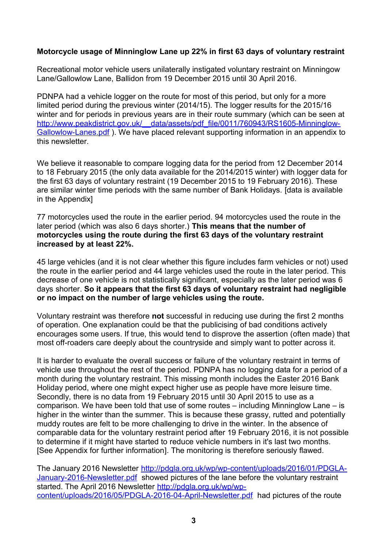### **Motorcycle usage of Minninglow Lane up 22% in first 63 days of voluntary restraint**

Recreational motor vehicle users unilaterally instigated voluntary restraint on Minningow Lane/Gallowlow Lane, Ballidon from 19 December 2015 until 30 April 2016.

PDNPA had a vehicle logger on the route for most of this period, but only for a more limited period during the previous winter (2014/15). The logger results for the 2015/16 winter and for periods in previous years are in their route summary (which can be seen at http://www.peakdistrict.gov.uk/ data/assets/pdf file/0011/760943/RS1605-Minninglow-[Gallowlow-Lanes.pdf](http://www.peakdistrict.gov.uk/__data/assets/pdf_file/0011/760943/RS1605-Minninglow-Gallowlow-Lanes.pdf) ). We have placed relevant supporting information in an appendix to this newsletter.

We believe it reasonable to compare logging data for the period from 12 December 2014 to 18 February 2015 (the only data available for the 2014/2015 winter) with logger data for the first 63 days of voluntary restraint (19 December 2015 to 19 February 2016). These are similar winter time periods with the same number of Bank Holidays. [data is available in the Appendix]

77 motorcycles used the route in the earlier period. 94 motorcycles used the route in the later period (which was also 6 days shorter.) **This means that the number of motorcycles using the route during the first 63 days of the voluntary restraint increased by at least 22%.** 

45 large vehicles (and it is not clear whether this figure includes farm vehicles or not) used the route in the earlier period and 44 large vehicles used the route in the later period. This decrease of one vehicle is not statistically significant, especially as the later period was 6 days shorter. **So it appears that the first 63 days of voluntary restraint had negligible or no impact on the number of large vehicles using the route.**

Voluntary restraint was therefore **not** successful in reducing use during the first 2 months of operation. One explanation could be that the publicising of bad conditions actively encourages some users. If true, this would tend to disprove the assertion (often made) that most off-roaders care deeply about the countryside and simply want to potter across it.

It is harder to evaluate the overall success or failure of the voluntary restraint in terms of vehicle use throughout the rest of the period. PDNPA has no logging data for a period of a month during the voluntary restraint. This missing month includes the Easter 2016 Bank Holiday period, where one might expect higher use as people have more leisure time. Secondly, there is no data from 19 February 2015 until 30 April 2015 to use as a comparison. We have been told that use of some routes – including Minninglow Lane – is higher in the winter than the summer. This is because these grassy, rutted and potentially muddy routes are felt to be more challenging to drive in the winter. In the absence of comparable data for the voluntary restraint period after 19 February 2016, it is not possible to determine if it might have started to reduce vehicle numbers in it's last two months. [See Appendix for further information]. The monitoring is therefore seriously flawed.

The January 2016 Newsletter [http://pdgla.org.uk/wp/wp-content/uploads/2016/01/PDGLA-](http://pdgla.org.uk/wp/wp-content/uploads/2016/01/PDGLA-January-2016-Newsletter.pdf)[January-2016-Newsletter.pdf](http://pdgla.org.uk/wp/wp-content/uploads/2016/01/PDGLA-January-2016-Newsletter.pdf) showed pictures of the lane before the voluntary restraint started. The April 2016 Newsletter [http://pdgla.org.uk/wp/wp](http://pdgla.org.uk/wp/wp-content/uploads/2016/05/PDGLA-2016-04-April-Newsletter.pdf)[content/uploads/2016/05/PDGLA-2016-04-April-Newsletter.pdf](http://pdgla.org.uk/wp/wp-content/uploads/2016/05/PDGLA-2016-04-April-Newsletter.pdf) had pictures of the route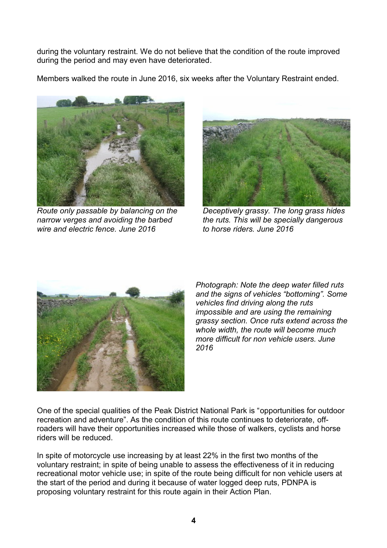during the voluntary restraint. We do not believe that the condition of the route improved during the period and may even have deteriorated.

Members walked the route in June 2016, six weeks after the Voluntary Restraint ended.



*Route only passable by balancing on the narrow verges and avoiding the barbed wire and electric fence. June 2016*



*Deceptively grassy. The long grass hides the ruts. This will be specially dangerous to horse riders. June 2016*



*Photograph: Note the deep water filled ruts and the signs of vehicles "bottoming". Some vehicles find driving along the ruts impossible and are using the remaining grassy section. Once ruts extend across the whole width, the route will become much more difficult for non vehicle users. June 2016*

One of the special qualities of the Peak District National Park is "opportunities for outdoor recreation and adventure". As the condition of this route continues to deteriorate, offroaders will have their opportunities increased while those of walkers, cyclists and horse riders will be reduced.

In spite of motorcycle use increasing by at least 22% in the first two months of the voluntary restraint; in spite of being unable to assess the effectiveness of it in reducing recreational motor vehicle use; in spite of the route being difficult for non vehicle users at the start of the period and during it because of water logged deep ruts, PDNPA is proposing voluntary restraint for this route again in their Action Plan.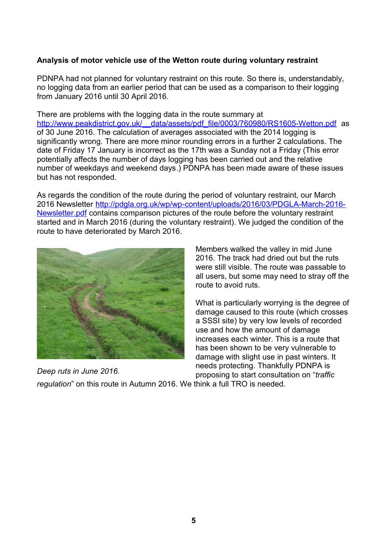### **Analysis of motor vehicle use of the Wetton route during voluntary restraint**

PDNPA had not planned for voluntary restraint on this route. So there is, understandably, no logging data from an earlier period that can be used as a comparison to their logging from January 2016 until 30 April 2016.

There are problems with the logging data in the route summary at http://www.peakdistrict.gov.uk/ data/assets/pdf file/0003/760980/RS1605-Wetton.pdf as of 30 June 2016. The calculation of averages associated with the 2014 logging is significantly wrong. There are more minor rounding errors in a further 2 calculations. The date of Friday 17 January is incorrect as the 17th was a Sunday not a Friday (This error potentially affects the number of days logging has been carried out and the relative number of weekdays and weekend days.) PDNPA has been made aware of these issues but has not responded.

As regards the condition of the route during the period of voluntary restraint, our March 2016 Newsletter [http://pdgla.org.uk/wp/wp-content/uploads/2016/03/PDGLA-March-2016-](http://pdgla.org.uk/wp/wp-content/uploads/2016/03/PDGLA-March-2016-Newsletter.pdf) [Newsletter.pdf](http://pdgla.org.uk/wp/wp-content/uploads/2016/03/PDGLA-March-2016-Newsletter.pdf) contains comparison pictures of the route before the voluntary restraint started and in March 2016 (during the voluntary restraint). We judged the condition of the route to have deteriorated by March 2016.



*Deep ruts in June 2016.*

Members walked the valley in mid June 2016. The track had dried out but the ruts were still visible. The route was passable to all users, but some may need to stray off the route to avoid ruts.

What is particularly worrying is the degree of damage caused to this route (which crosses a SSSI site) by very low levels of recorded use and how the amount of damage increases each winter. This is a route that has been shown to be very vulnerable to damage with slight use in past winters. It needs protecting. Thankfully PDNPA is proposing to start consultation on "*traffic* 

*regulation*" on this route in Autumn 2016. We think a full TRO is needed.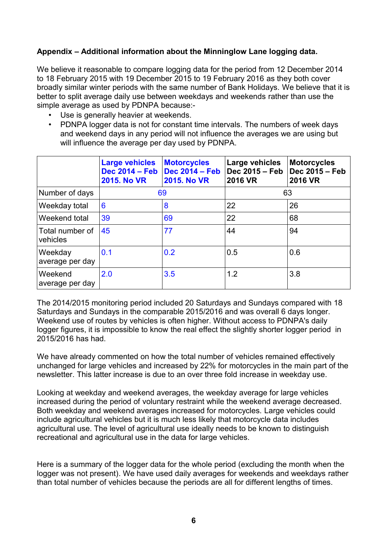### **Appendix – Additional information about the Minninglow Lane logging data.**

We believe it reasonable to compare logging data for the period from 12 December 2014 to 18 February 2015 with 19 December 2015 to 19 February 2016 as they both cover broadly similar winter periods with the same number of Bank Holidays. We believe that it is better to split average daily use between weekdays and weekends rather than use the simple average as used by PDNPA because:-

- Use is generally heavier at weekends.
- PDNPA logger data is not for constant time intervals. The numbers of week days and weekend days in any period will not influence the averages we are using but will influence the average per day used by PDNPA.

|                             | <b>Large vehicles</b><br><b>Dec 2014 - Feb</b><br><b>2015. No VR</b> | <b>Motorcycles</b><br><b>Dec 2014 - Feb</b><br><b>2015. No VR</b> | Large vehicles<br>Dec 2015 - Feb<br><b>2016 VR</b> | <b>Motorcycles</b><br>Dec 2015 - Feb<br><b>2016 VR</b> |
|-----------------------------|----------------------------------------------------------------------|-------------------------------------------------------------------|----------------------------------------------------|--------------------------------------------------------|
| Number of days              | 69                                                                   |                                                                   | 63                                                 |                                                        |
| Weekday total               | 6                                                                    | 8                                                                 | 22                                                 | 26                                                     |
| Weekend total               | 39                                                                   | 69                                                                | 22                                                 | 68                                                     |
| Total number of<br>vehicles | 45                                                                   | 77                                                                | 44                                                 | 94                                                     |
| Weekday<br>average per day  | 0.1                                                                  | 0.2                                                               | 0.5                                                | 0.6                                                    |
| Weekend<br>average per day  | 2.0                                                                  | 3.5                                                               | 1.2                                                | 3.8                                                    |

The 2014/2015 monitoring period included 20 Saturdays and Sundays compared with 18 Saturdays and Sundays in the comparable 2015/2016 and was overall 6 days longer. Weekend use of routes by vehicles is often higher. Without access to PDNPA's daily logger figures, it is impossible to know the real effect the slightly shorter logger period in 2015/2016 has had.

We have already commented on how the total number of vehicles remained effectively unchanged for large vehicles and increased by 22% for motorcycles in the main part of the newsletter. This latter increase is due to an over three fold increase in weekday use.

Looking at weekday and weekend averages, the weekday average for large vehicles increased during the period of voluntary restraint while the weekend average decreased. Both weekday and weekend averages increased for motorcycles. Large vehicles could include agricultural vehicles but it is much less likely that motorcycle data includes agricultural use. The level of agricultural use ideally needs to be known to distinguish recreational and agricultural use in the data for large vehicles.

Here is a summary of the logger data for the whole period (excluding the month when the logger was not present). We have used daily averages for weekends and weekdays rather than total number of vehicles because the periods are all for different lengths of times.